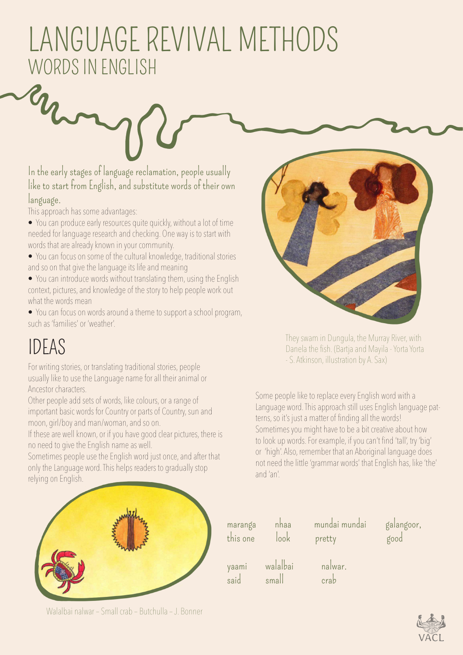## LANGUAGE REVIVAL METHODS WORDS IN ENGLISH

In the early stages of language reclamation, people usually like to start from English, and substitute words of their own language.

This approach has some advantages:

England

• You can produce early resources quite quickly, without a lot of time needed for language research and checking. One way is to start with words that are already known in your community.

- You can focus on some of the cultural knowledge, traditional stories and so on that give the language its life and meaning
- You can introduce words without translating them, using the English context, pictures, and knowledge of the story to help people work out what the words mean
- You can focus on words around a theme to support a school program, such as 'families' or 'weather'.

## IDEAS

For writing stories, or translating traditional stories, people usually like to use the Language name for all their animal or Ancestor characters.

Other people add sets of words, like colours, or a range of important basic words for Country or parts of Country, sun and moon, girl/boy and man/woman, and so on.

If these are well known, or if you have good clear pictures, there is no need to give the English name as well.

Sometimes people use the English word just once, and after that only the Language word. This helps readers to gradually stop relying on English.



They swam in Dungula, the Murray River, with Danela the fish. (Bartja and Mayila - Yorta Yorta - S. Atkinson, illustration by A. Sax)

Some people like to replace every English word with a Language word. This approach still uses English language patterns, so it's just a matter of finding all the words! Sometimes you might have to be a bit creative about how to look up words. For example, if you can't find 'tall', try 'big' or 'high'. Also, remember that an Aboriginal language does not need the little 'grammar words' that English has, like 'the' and 'an'.



maranga nhaa mundai mundai galangoor, this one look pretty good yaami walalbai nalwar. said small crab

Walalbai nalwar – Small crab – Butchulla – J. Bonner